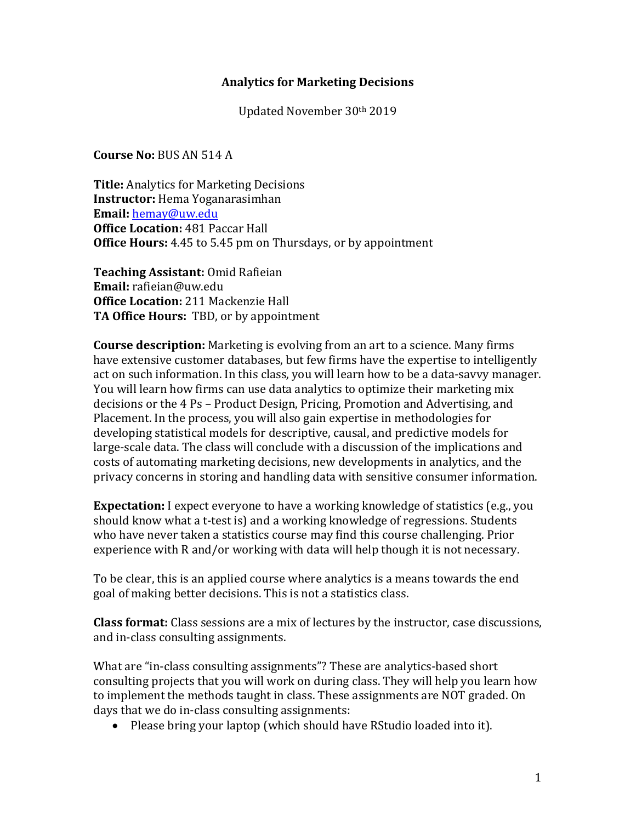#### **Analytics for Marketing Decisions**

Updated November 30th 2019

**Course No: BUS AN 514 A** 

**Title:** Analytics for Marketing Decisions **Instructor:** Hema Yoganarasimhan **Email:** hemay@uw.edu **Office Location: 481 Paccar Hall Office Hours:** 4.45 to 5.45 pm on Thursdays, or by appointment

**Teaching Assistant:** Omid Rafieian **Email:** rafieian@uw.edu **Office Location:** 211 Mackenzie Hall **TA Office Hours:** TBD, or by appointment

**Course description:** Marketing is evolving from an art to a science. Many firms have extensive customer databases, but few firms have the expertise to intelligently act on such information. In this class, you will learn how to be a data-savvy manager. You will learn how firms can use data analytics to optimize their marketing mix decisions or the 4 Ps – Product Design, Pricing, Promotion and Advertising, and Placement. In the process, you will also gain expertise in methodologies for developing statistical models for descriptive, causal, and predictive models for large-scale data. The class will conclude with a discussion of the implications and costs of automating marketing decisions, new developments in analytics, and the privacy concerns in storing and handling data with sensitive consumer information.

**Expectation:** I expect everyone to have a working knowledge of statistics (e.g., you should know what a t-test is) and a working knowledge of regressions. Students who have never taken a statistics course may find this course challenging. Prior experience with R and/or working with data will help though it is not necessary.

To be clear, this is an applied course where analytics is a means towards the end goal of making better decisions. This is not a statistics class.

**Class format:** Class sessions are a mix of lectures by the instructor, case discussions, and in-class consulting assignments.

What are "in-class consulting assignments"? These are analytics-based short consulting projects that you will work on during class. They will help you learn how to implement the methods taught in class. These assignments are NOT graded. On days that we do in-class consulting assignments:

• Please bring your laptop (which should have RStudio loaded into it).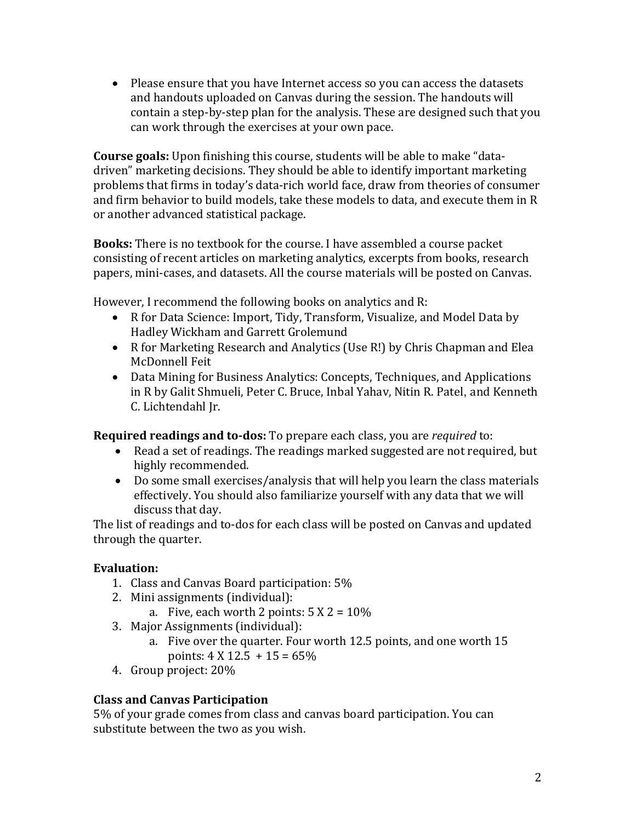• Please ensure that you have Internet access so you can access the datasets and handouts uploaded on Canvas during the session. The handouts will contain a step-by-step plan for the analysis. These are designed such that you can work through the exercises at your own pace.

**Course goals:** Upon finishing this course, students will be able to make "datadriven" marketing decisions. They should be able to identify important marketing problems that firms in today's data-rich world face, draw from theories of consumer and firm behavior to build models, take these models to data, and execute them in R or another advanced statistical package.

**Books:** There is no textbook for the course. I have assembled a course packet consisting of recent articles on marketing analytics, excerpts from books, research papers, mini-cases, and datasets. All the course materials will be posted on Canvas.

However, I recommend the following books on analytics and R:

- R for Data Science: Import, Tidy, Transform, Visualize, and Model Data by Hadley Wickham and Garrett Grolemund
- R for Marketing Research and Analytics (Use R!) by Chris Chapman and Elea McDonnell Feit
- Data Mining for Business Analytics: Concepts, Techniques, and Applications in R by Galit Shmueli, Peter C. Bruce, Inbal Yahav, Nitin R. Patel, and Kenneth C. Lichtendahl Jr.

**Required readings and to-dos:** To prepare each class, you are *required* to:

- Read a set of readings. The readings marked suggested are not required, but highly recommended.
- Do some small exercises/analysis that will help you learn the class materials effectively. You should also familiarize yourself with any data that we will discuss that day.

The list of readings and to-dos for each class will be posted on Canvas and updated through the quarter.

### **Evaluation:**

- 1. Class and Canvas Board participation:  $5\%$
- 2. Mini assignments (individual):
	- a. Five, each worth 2 points:  $5 X 2 = 10\%$
- 3. Major Assignments (individual):
	- a. Five over the quarter. Four worth 12.5 points, and one worth 15 points:  $4 \times 12.5 + 15 = 65\%$
- 4. Group project: 20%

### **Class and Canvas Participation**

5% of your grade comes from class and canvas board participation. You can substitute between the two as you wish.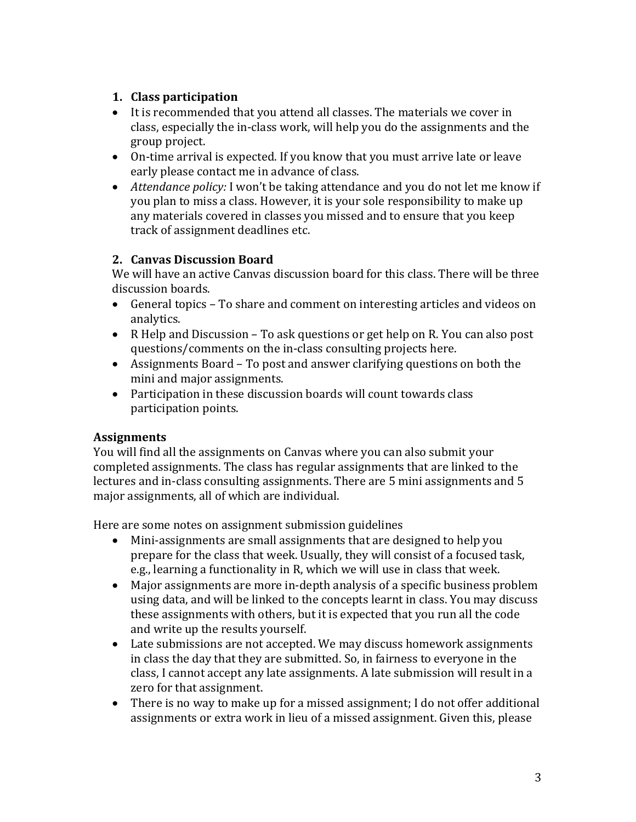### **1. Class participation**

- $\bullet$  It is recommended that you attend all classes. The materials we cover in class, especially the in-class work, will help you do the assignments and the group project.
- On-time arrival is expected. If you know that you must arrive late or leave early please contact me in advance of class.
- *Attendance policy:* I won't be taking attendance and you do not let me know if you plan to miss a class. However, it is your sole responsibility to make up any materials covered in classes you missed and to ensure that you keep track of assignment deadlines etc.

### **2. Canvas Discussion Board**

We will have an active Canvas discussion board for this class. There will be three discussion boards.

- General topics To share and comment on interesting articles and videos on analytics.
- R Help and Discussion To ask questions or get help on R. You can also post questions/comments on the in-class consulting projects here.
- Assignments Board To post and answer clarifying questions on both the mini and major assignments.
- Participation in these discussion boards will count towards class participation points.

### **Assignments**

You will find all the assignments on Canvas where you can also submit your completed assignments. The class has regular assignments that are linked to the lectures and in-class consulting assignments. There are 5 mini assignments and 5 major assignments, all of which are individual.

Here are some notes on assignment submission guidelines

- Mini-assignments are small assignments that are designed to help you prepare for the class that week. Usually, they will consist of a focused task, e.g., learning a functionality in R, which we will use in class that week.
- Major assignments are more in-depth analysis of a specific business problem using data, and will be linked to the concepts learnt in class. You may discuss these assignments with others, but it is expected that you run all the code and write up the results yourself.
- Late submissions are not accepted. We may discuss homework assignments in class the day that they are submitted. So, in fairness to everyone in the class, I cannot accept any late assignments. A late submission will result in a zero for that assignment.
- There is no way to make up for a missed assignment; I do not offer additional assignments or extra work in lieu of a missed assignment. Given this, please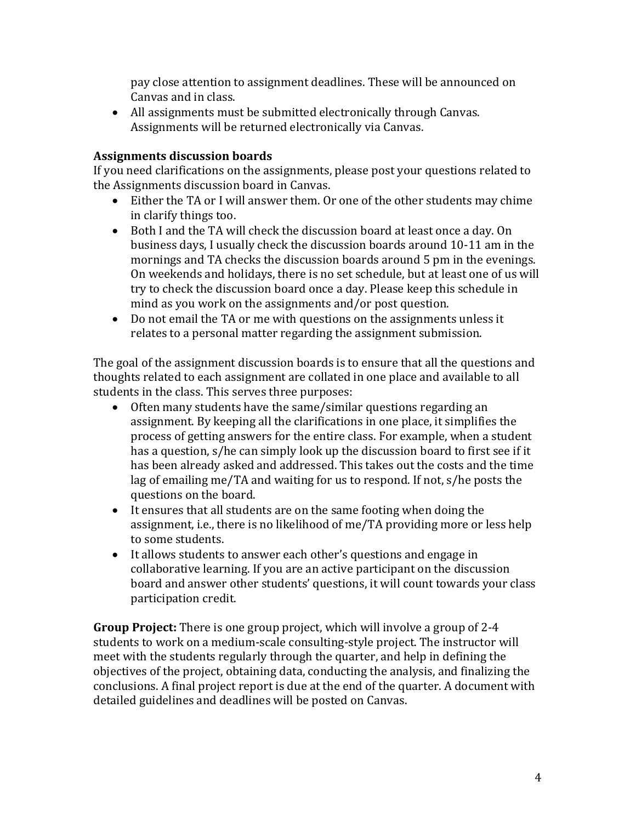pay close attention to assignment deadlines. These will be announced on Canvas and in class.

• All assignments must be submitted electronically through Canvas. Assignments will be returned electronically via Canvas.

#### **Assignments discussion boards**

If you need clarifications on the assignments, please post your questions related to the Assignments discussion board in Canvas.

- Either the TA or I will answer them. Or one of the other students may chime in clarify things too.
- Both I and the TA will check the discussion board at least once a day. On business days, I usually check the discussion boards around 10-11 am in the mornings and TA checks the discussion boards around 5 pm in the evenings. On weekends and holidays, there is no set schedule, but at least one of us will try to check the discussion board once a day. Please keep this schedule in mind as you work on the assignments and/or post question.
- Do not email the TA or me with questions on the assignments unless it relates to a personal matter regarding the assignment submission.

The goal of the assignment discussion boards is to ensure that all the questions and thoughts related to each assignment are collated in one place and available to all students in the class. This serves three purposes:

- $\bullet$  Often many students have the same/similar questions regarding an assignment. By keeping all the clarifications in one place, it simplifies the process of getting answers for the entire class. For example, when a student has a question, s/he can simply look up the discussion board to first see if it has been already asked and addressed. This takes out the costs and the time lag of emailing me/TA and waiting for us to respond. If not,  $s/he$  posts the questions on the board.
- $\bullet$  It ensures that all students are on the same footing when doing the assignment, i.e., there is no likelihood of me/TA providing more or less help to some students.
- It allows students to answer each other's questions and engage in collaborative learning. If you are an active participant on the discussion board and answer other students' questions, it will count towards your class participation credit.

**Group Project:** There is one group project, which will involve a group of 2-4 students to work on a medium-scale consulting-style project. The instructor will meet with the students regularly through the quarter, and help in defining the objectives of the project, obtaining data, conducting the analysis, and finalizing the conclusions. A final project report is due at the end of the quarter. A document with detailed guidelines and deadlines will be posted on Canvas.